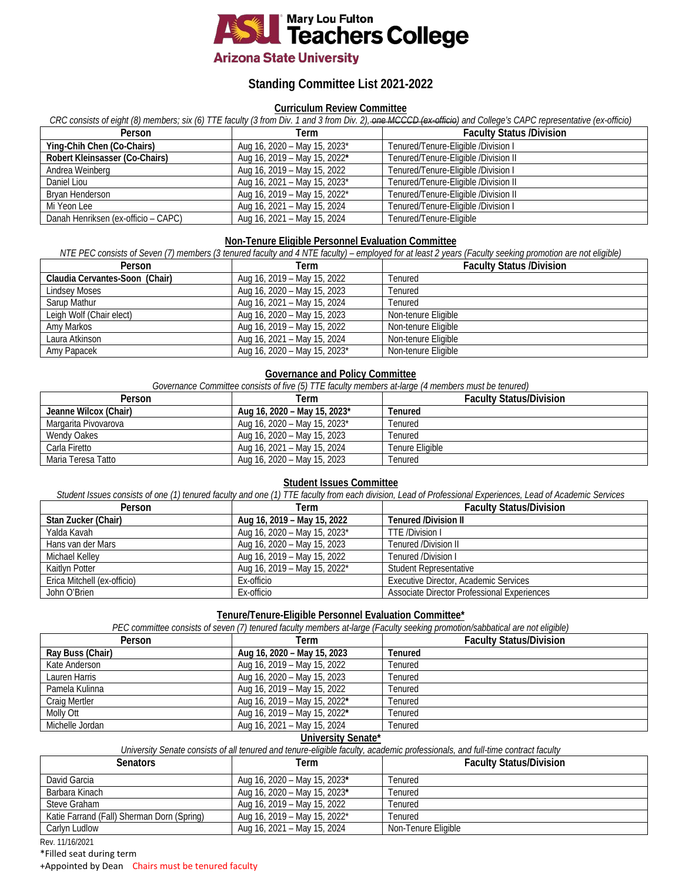

# **Arizona State University**

# **Standing Committee List 2021-2022**

## **Curriculum Review Committee**

*CRC consists of eight (8) members; six (6) TTE faculty (3 from Div. 1 and 3 from Div. 2), one MCCCD (ex-officio) and College's CAPC representative (ex-officio)*

| Person                              | Term                         | <b>Faculty Status /Division</b>      |
|-------------------------------------|------------------------------|--------------------------------------|
| Ying-Chih Chen (Co-Chairs)          | Aug 16, 2020 - May 15, 2023* | Tenured/Tenure-Eligible /Division I  |
| Robert Kleinsasser (Co-Chairs)      | Aug 16, 2019 - May 15, 2022* | Tenured/Tenure-Eligible /Division II |
| Andrea Weinberg                     | Aug 16, 2019 – May 15, 2022  | Tenured/Tenure-Eligible /Division I  |
| Daniel Liou                         | Aug 16, 2021 - May 15, 2023* | Tenured/Tenure-Eligible /Division II |
| Bryan Henderson                     | Aug 16, 2019 - May 15, 2022* | Tenured/Tenure-Eligible /Division II |
| Mi Yeon Lee                         | Aug 16, 2021 - May 15, 2024  | Tenured/Tenure-Eligible /Division I  |
| Danah Henriksen (ex-officio – CAPC) | Aug 16, 2021 – May 15, 2024  | Tenured/Tenure-Eligible              |

#### **Non-Tenure Eligible Personnel Evaluation Committee**

*NTE PEC consists of Seven (7) members (3 tenured faculty and 4 NTE faculty) – employed for at least 2 years (Faculty seeking promotion are not eligible)* 

| Person                         | Term                         | <b>Faculty Status /Division</b> |
|--------------------------------|------------------------------|---------------------------------|
| Claudia Cervantes-Soon (Chair) | Aug 16, 2019 - May 15, 2022  | Tenured                         |
| <b>Lindsey Moses</b>           | Aug 16, 2020 - May 15, 2023  | Tenured                         |
| Sarup Mathur                   | Aug 16, 2021 - May 15, 2024  | Tenured                         |
| Leigh Wolf (Chair elect)       | Aug 16, 2020 - May 15, 2023  | Non-tenure Eligible             |
| Amy Markos                     | Aug 16, 2019 - May 15, 2022  | Non-tenure Eligible             |
| Laura Atkinson                 | Aug 16, 2021 - May 15, 2024  | Non-tenure Eligible             |
| Amy Papacek                    | Aug 16, 2020 - May 15, 2023* | Non-tenure Eligible             |

## **Governance and Policy Committee**

*Governance Committee consists of five (5) TTE faculty members at-large (4 members must be tenured)*

| Person                | Term                         | <b>Faculty Status/Division</b> |
|-----------------------|------------------------------|--------------------------------|
| Jeanne Wilcox (Chair) | Aug 16, 2020 - May 15, 2023* | Tenured                        |
| Margarita Pivovarova  | Aug 16, 2020 - May 15, 2023* | Tenured                        |
| <b>Wendy Oakes</b>    | Aug 16, 2020 - May 15, 2023  | Tenured                        |
| Carla Firetto         | Aug 16, 2021 - May 15, 2024  | Tenure Eligible                |
| Maria Teresa Tatto    | Aug 16, 2020 - May 15, 2023  | Tenured                        |

## **Student Issues Committee**

*Student Issues consists of one (1) tenured faculty and one (1) TTE faculty from each division, Lead of Professional Experiences, Lead of Academic Services* 

| Person                      | Term                                     | <b>Faculty Status/Division</b>              |
|-----------------------------|------------------------------------------|---------------------------------------------|
| Stan Zucker (Chair)         | Aug 16, 2019 – May 15, 2022              | <b>Tenured /Division II</b>                 |
| Yalda Kavah                 | Aug 16, 2020 - May 15, 2023*             | TTE /Division I                             |
| Hans van der Mars           | Aug 16, 2020 - May 15, 2023              | Tenured /Division II                        |
| Michael Kellev              | Aug 16, 2019 – May 15, 2022              | Tenured /Division I                         |
| Kaitlyn Potter              | Aug 16, 2019 - May 15, 2022 <sup>*</sup> | Student Representative                      |
| Erica Mitchell (ex-officio) | Ex-officio                               | Executive Director, Academic Services       |
| John O'Brien                | Ex-officio                               | Associate Director Professional Experiences |

#### **Tenure/Tenure-Eligible Personnel Evaluation Committee\***

| PEC committee consists of seven (7) tenured faculty members at-large (Faculty seeking promotion/sabbatical are not eligible) |                              |                                |
|------------------------------------------------------------------------------------------------------------------------------|------------------------------|--------------------------------|
| Person                                                                                                                       | Term                         | <b>Faculty Status/Division</b> |
| Ray Buss (Chair)                                                                                                             | Aug 16, 2020 - May 15, 2023  | Tenured                        |
| Kate Anderson                                                                                                                | Aug 16, 2019 – May 15, 2022  | Tenured                        |
| Lauren Harris                                                                                                                | Aug 16, 2020 - May 15, 2023  | Tenured                        |
| Pamela Kulinna                                                                                                               | Aug 16, 2019 – May 15, 2022  | Tenured                        |
| Craig Mertler                                                                                                                | Aug 16, 2019 – May 15, 2022* | Tenured                        |
| Molly Ott                                                                                                                    | Aug 16, 2019 - May 15, 2022* | Tenured                        |
| Michelle Jordan                                                                                                              | Aug 16, 2021 - May 15, 2024  | Tenured                        |

#### Aug 16, 2021 – May 15, 2024 **University Senate\***

| University Senate consists of all tenured and tenure-eligible faculty, academic professionals, and full-time contract faculty |  |
|-------------------------------------------------------------------------------------------------------------------------------|--|
|-------------------------------------------------------------------------------------------------------------------------------|--|

| <b>Senators</b>                            | Term                         | <b>Faculty Status/Division</b> |
|--------------------------------------------|------------------------------|--------------------------------|
| David Garcia                               | Aug 16, 2020 – May 15, 2023* | Tenured                        |
| Barbara Kinach                             | Aug 16, 2020 - May 15, 2023* | Tenured                        |
| Steve Graham                               | Aug 16, 2019 – May 15, 2022  | Tenured                        |
| Katie Farrand (Fall) Sherman Dorn (Spring) | Aug 16, 2019 - May 15, 2022* | Tenured                        |
| Carlvn Ludlow                              | Aug 16, 2021 – May 15, 2024  | Non-Tenure Eligible            |

Rev. 11/16/2021

\*Filled seat during term

+Appointed by Dean Chairs must be tenured faculty